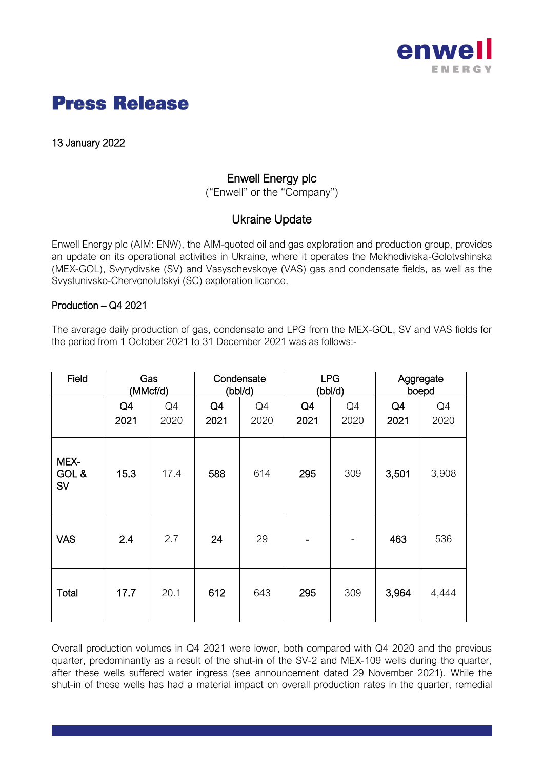

13 January 2022

## Enwell Energy plc

("Enwell" or the "Company")

## Ukraine Update

Enwell Energy plc (AIM: ENW), the AIM-quoted oil and gas exploration and production group, provides an update on its operational activities in Ukraine, where it operates the Mekhediviska-Golotvshinska (MEX-GOL), Svyrydivske (SV) and Vasyschevskoye (VAS) gas and condensate fields, as well as the Svystunivsko-Chervonolutskyi (SC) exploration licence.

#### Production – Q4 2021

The average daily production of gas, condensate and LPG from the MEX-GOL, SV and VAS fields for the period from 1 October 2021 to 31 December 2021 was as follows:-

| Field               | Gas<br>(MMcf/d) |      | Condensate<br>(bbl/d) |      | <b>LPG</b><br>(bbl/d) |      | Aggregate<br>boepd |       |
|---------------------|-----------------|------|-----------------------|------|-----------------------|------|--------------------|-------|
|                     | Q4              | Q4   | Q4                    | Q4   | Q4                    | Q4   | Q4                 | Q4    |
|                     | 2021            | 2020 | 2021                  | 2020 | 2021                  | 2020 | 2021               | 2020  |
| MEX-<br>GOL &<br>SV | 15.3            | 17.4 | 588                   | 614  | 295                   | 309  | 3,501              | 3,908 |
| <b>VAS</b>          | 2.4             | 2.7  | 24                    | 29   |                       |      | 463                | 536   |
| <b>Total</b>        | 17.7            | 20.1 | 612                   | 643  | 295                   | 309  | 3,964              | 4,444 |

Overall production volumes in Q4 2021 were lower, both compared with Q4 2020 and the previous quarter, predominantly as a result of the shut-in of the SV-2 and MEX-109 wells during the quarter, after these wells suffered water ingress (see announcement dated 29 November 2021). While the shut-in of these wells has had a material impact on overall production rates in the quarter, remedial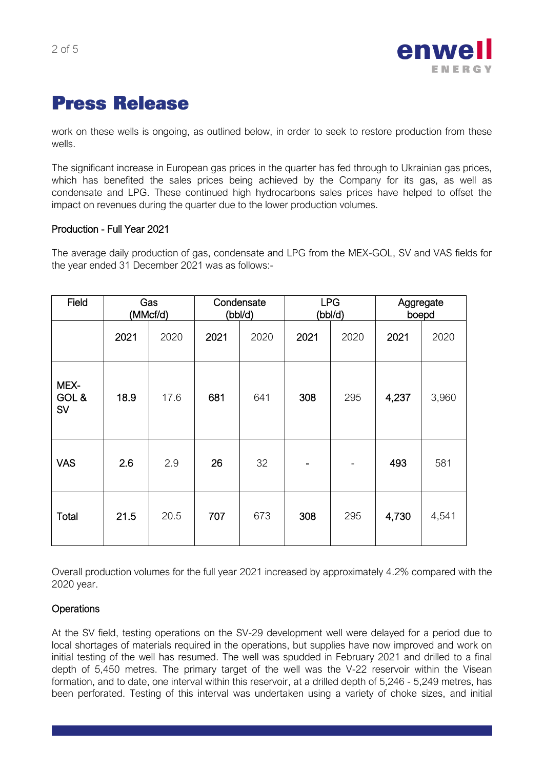

work on these wells is ongoing, as outlined below, in order to seek to restore production from these wells.

The significant increase in European gas prices in the quarter has fed through to Ukrainian gas prices, which has benefited the sales prices being achieved by the Company for its gas, as well as condensate and LPG. These continued high hydrocarbons sales prices have helped to offset the impact on revenues during the quarter due to the lower production volumes.

#### Production - Full Year 2021

The average daily production of gas, condensate and LPG from the MEX-GOL, SV and VAS fields for the year ended 31 December 2021 was as follows:-

| <b>Field</b>        | Gas<br>(MMcf/d) |      | Condensate<br>(bbl/d) |      | <b>LPG</b><br>(bbl/d)    |      | Aggregate<br>boepd |       |
|---------------------|-----------------|------|-----------------------|------|--------------------------|------|--------------------|-------|
|                     | 2021            | 2020 | 2021                  | 2020 | 2021                     | 2020 | 2021               | 2020  |
| MEX-<br>GOL &<br>SV | 18.9            | 17.6 | 681                   | 641  | 308                      | 295  | 4,237              | 3,960 |
| <b>VAS</b>          | 2.6             | 2.9  | 26                    | 32   | $\overline{\phantom{a}}$ |      | 493                | 581   |
| Total               | 21.5            | 20.5 | 707                   | 673  | 308                      | 295  | 4,730              | 4,541 |

Overall production volumes for the full year 2021 increased by approximately 4.2% compared with the 2020 year.

## **Operations**

At the SV field, testing operations on the SV-29 development well were delayed for a period due to local shortages of materials required in the operations, but supplies have now improved and work on initial testing of the well has resumed. The well was spudded in February 2021 and drilled to a final depth of 5,450 metres. The primary target of the well was the V-22 reservoir within the Visean formation, and to date, one interval within this reservoir, at a drilled depth of 5,246 - 5,249 metres, has been perforated. Testing of this interval was undertaken using a variety of choke sizes, and initial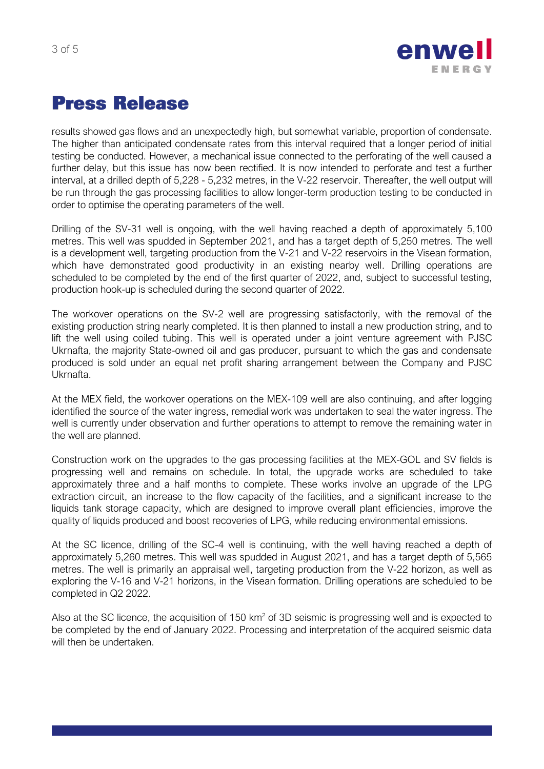



results showed gas flows and an unexpectedly high, but somewhat variable, proportion of condensate. The higher than anticipated condensate rates from this interval required that a longer period of initial testing be conducted. However, a mechanical issue connected to the perforating of the well caused a further delay, but this issue has now been rectified. It is now intended to perforate and test a further interval, at a drilled depth of 5,228 - 5,232 metres, in the V-22 reservoir. Thereafter, the well output will be run through the gas processing facilities to allow longer-term production testing to be conducted in order to optimise the operating parameters of the well.

Drilling of the SV-31 well is ongoing, with the well having reached a depth of approximately 5,100 metres. This well was spudded in September 2021, and has a target depth of 5,250 metres. The well is a development well, targeting production from the V-21 and V-22 reservoirs in the Visean formation, which have demonstrated good productivity in an existing nearby well. Drilling operations are scheduled to be completed by the end of the first quarter of 2022, and, subject to successful testing, production hook-up is scheduled during the second quarter of 2022.

The workover operations on the SV-2 well are progressing satisfactorily, with the removal of the existing production string nearly completed. It is then planned to install a new production string, and to lift the well using coiled tubing. This well is operated under a joint venture agreement with PJSC Ukrnafta, the majority State-owned oil and gas producer, pursuant to which the gas and condensate produced is sold under an equal net profit sharing arrangement between the Company and PJSC Ukrnafta.

At the MEX field, the workover operations on the MEX-109 well are also continuing, and after logging identified the source of the water ingress, remedial work was undertaken to seal the water ingress. The well is currently under observation and further operations to attempt to remove the remaining water in the well are planned.

Construction work on the upgrades to the gas processing facilities at the MEX-GOL and SV fields is progressing well and remains on schedule. In total, the upgrade works are scheduled to take approximately three and a half months to complete. These works involve an upgrade of the LPG extraction circuit, an increase to the flow capacity of the facilities, and a significant increase to the liquids tank storage capacity, which are designed to improve overall plant efficiencies, improve the quality of liquids produced and boost recoveries of LPG, while reducing environmental emissions.

At the SC licence, drilling of the SC-4 well is continuing, with the well having reached a depth of approximately 5,260 metres. This well was spudded in August 2021, and has a target depth of 5,565 metres. The well is primarily an appraisal well, targeting production from the V-22 horizon, as well as exploring the V-16 and V-21 horizons, in the Visean formation. Drilling operations are scheduled to be completed in Q2 2022.

Also at the SC licence, the acquisition of  $150 \text{ km}^2$  of 3D seismic is progressing well and is expected to be completed by the end of January 2022. Processing and interpretation of the acquired seismic data will then be undertaken.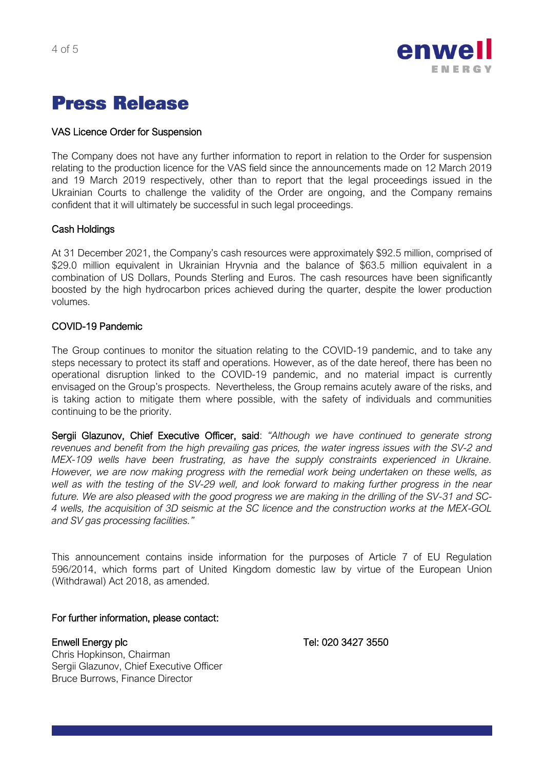

## VAS Licence Order for Suspension

The Company does not have any further information to report in relation to the Order for suspension relating to the production licence for the VAS field since the announcements made on 12 March 2019 and 19 March 2019 respectively, other than to report that the legal proceedings issued in the Ukrainian Courts to challenge the validity of the Order are ongoing, and the Company remains confident that it will ultimately be successful in such legal proceedings.

## Cash Holdings

At 31 December 2021, the Company's cash resources were approximately \$92.5 million, comprised of \$29.0 million equivalent in Ukrainian Hryvnia and the balance of \$63.5 million equivalent in a combination of US Dollars, Pounds Sterling and Euros. The cash resources have been significantly boosted by the high hydrocarbon prices achieved during the quarter, despite the lower production volumes.

## COVID-19 Pandemic

The Group continues to monitor the situation relating to the COVID-19 pandemic, and to take any steps necessary to protect its staff and operations. However, as of the date hereof, there has been no operational disruption linked to the COVID-19 pandemic, and no material impact is currently envisaged on the Group's prospects. Nevertheless, the Group remains acutely aware of the risks, and is taking action to mitigate them where possible, with the safety of individuals and communities continuing to be the priority.

Sergii Glazunov, Chief Executive Officer, said: *"Although we have continued to generate strong revenues and benefit from the high prevailing gas prices, the water ingress issues with the SV-2 and MEX-109 wells have been frustrating, as have the supply constraints experienced in Ukraine. However, we are now making progress with the remedial work being undertaken on these wells, as well as with the testing of the SV-29 well, and look forward to making further progress in the near future. We are also pleased with the good progress we are making in the drilling of the SV-31 and SC-4 wells, the acquisition of 3D seismic at the SC licence and the construction works at the MEX-GOL and SV gas processing facilities."*

This announcement contains inside information for the purposes of Article 7 of EU Regulation 596/2014, which forms part of United Kingdom domestic law by virtue of the European Union (Withdrawal) Act 2018, as amended.

## For further information, please contact:

Enwell Energy plc Tel: 020 3427 3550

Chris Hopkinson, Chairman Sergii Glazunov, Chief Executive Officer Bruce Burrows, Finance Director